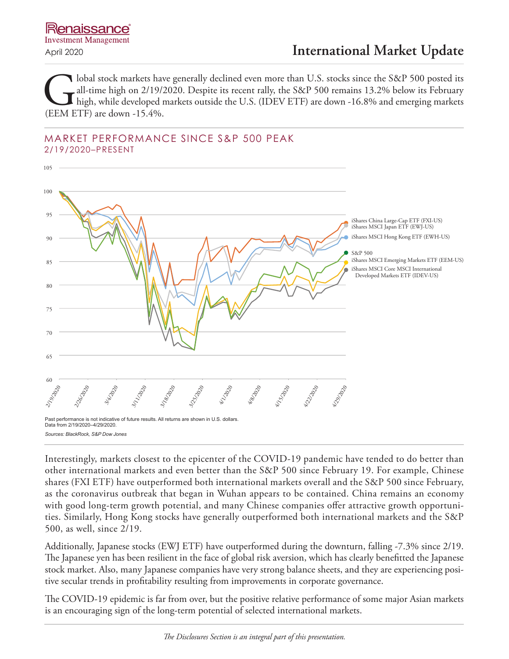Iobal stock markets have generally declined even more than U.S. stocks since the S&P 500 posted its all-time high on 2/19/2020. Despite its recent rally, the S&P 500 remains 13.2% below its February high, while developed m all-time high on 2/19/2020. Despite its recent rally, the S&P 500 remains 13.2% below its February high, while developed markets outside the U.S. (IDEV ETF) are down -16.8% and emerging markets (EEM ETF) are down -15.4%.

### MARKET PERFORMANCE SINCE S&P 500 PEAK 2/19/2020–PRESENT



Interestingly, markets closest to the epicenter of the COVID-19 pandemic have tended to do better than other international markets and even better than the S&P 500 since February 19. For example, Chinese shares (FXI ETF) have outperformed both international markets overall and the S&P 500 since February, as the coronavirus outbreak that began in Wuhan appears to be contained. China remains an economy with good long-term growth potential, and many Chinese companies offer attractive growth opportunities. Similarly, Hong Kong stocks have generally outperformed both international markets and the S&P 500, as well, since 2/19.

Additionally, Japanese stocks (EWJ ETF) have outperformed during the downturn, falling -7.3% since 2/19. The Japanese yen has been resilient in the face of global risk aversion, which has clearly benefitted the Japanese stock market. Also, many Japanese companies have very strong balance sheets, and they are experiencing positive secular trends in profitability resulting from improvements in corporate governance.

The COVID-19 epidemic is far from over, but the positive relative performance of some major Asian markets is an encouraging sign of the long-term potential of selected international markets.

*The Disclosures Section is an integral part of this presentation.*